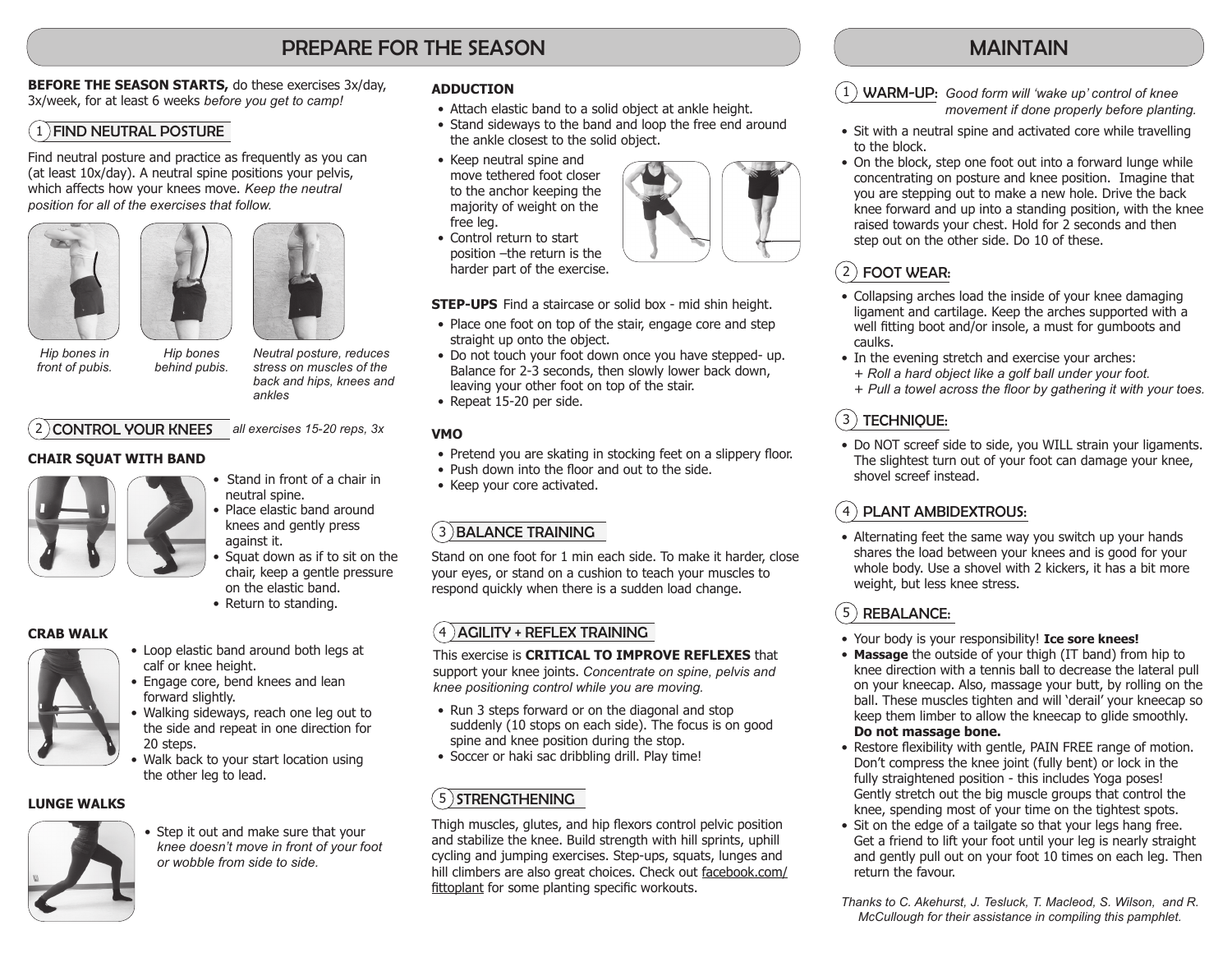## PREPARE FOR THE SEASON

**BEFORE THE SEASON STARTS, do these exercises 3x/day,** 3x/week, for at least 6 weeks *before you get to camp!*

#### $(1)$  FIND NEUTRAL POSTURE

Find neutral posture and practice as frequently as you can (at least 10x/day). A neutral spine positions your pelvis, which affects how your knees move. *Keep the neutral position for all of the exercises that follow.* 





*Hip bones behind pubis.* 



*Hip bones in front of pubis.* 

*Neutral posture, reduces stress on muscles of the back and hips, knees and ankles* 

#### *all exercises 15-20 reps, 3x* 2 CONTROL YOUR KNEES

#### **CHAIR SQUAT WITH BAND**



- Stand in front of a chair in neutral spine.
- Place elastic band around knees and gently press against it.
- Squat down as if to sit on the chair, keep a gentle pressure on the elastic band.
- Return to standing.

#### **CRAB WALK**



- Loop elastic band around both legs at calf or knee height.
- Engage core, bend knees and lean forward slightly.
- Walking sideways, reach one leg out to the side and repeat in one direction for 20 steps.
- Walk back to your start location using the other leg to lead.

#### **LUNGE WALKS**



• Step it out and make sure that your *knee doesn't move in front of your foot or wobble from side to side.*

#### **ADDUCTION**

- Attach elastic band to a solid object at ankle height.
- Stand sideways to the band and loop the free end around the ankle closest to the solid object.
- Keep neutral spine and move tethered foot closer to the anchor keeping the majority of weight on the free leg.
- Control return to start position –the return is the harder part of the exercise.

**STEP-UPS** Find a staircase or solid box - mid shin height.

- Place one foot on top of the stair, engage core and step straight up onto the object.
- Do not touch your foot down once you have stepped- up. Balance for 2-3 seconds, then slowly lower back down, leaving your other foot on top of the stair.
- Repeat 15-20 per side.

#### **VMO**

- Pretend you are skating in stocking feet on a slippery floor.
- Push down into the floor and out to the side.
- Keep your core activated.

## 3) BALANCE TRAINING

Stand on one foot for 1 min each side. To make it harder, close your eyes, or stand on a cushion to teach your muscles to respond quickly when there is a sudden load change.

#### $(4)$ AGILITY + REFLEX TRAINING

This exercise is **CRITICAL TO IMPROVE REFLEXES** that support your knee joints. *Concentrate on spine, pelvis and knee positioning control while you are moving.*

- Run 3 steps forward or on the diagonal and stop suddenly (10 stops on each side). The focus is on good spine and knee position during the stop.
- Soccer or haki sac dribbling drill. Play time!

## 35 STRENGTHENING

Thigh muscles, glutes, and hip flexors control pelvic position and stabilize the knee. Build strength with hill sprints, uphill cycling and jumping exercises. Step-ups, squats, lunges and hill climbers are also great choices. Check out facebook.com/ fittoplant for some planting specific workouts.

## MAINTAIN

31 WARM-UP: *Good form will 'wake up' control of knee movement if done properly before planting.*

- Sit with a neutral spine and activated core while travelling to the block.
- On the block, step one foot out into a forward lunge while concentrating on posture and knee position. Imagine that you are stepping out to make a new hole. Drive the back knee forward and up into a standing position, with the knee raised towards your chest. Hold for 2 seconds and then step out on the other side. Do 10 of these.

## 2) FOOT WEAR:

- Collapsing arches load the inside of your knee damaging ligament and cartilage. Keep the arches supported with a well fitting boot and/or insole, a must for gumboots and caulks.
- In the evening stretch and exercise your arches: + *Roll a hard object like a golf ball under your foot.*
- + *Pull a towel across the floor by gathering it with your toes.*

## 3 TECHNIQUE:

• Do NOT screef side to side, you WILL strain your ligaments. The slightest turn out of your foot can damage your knee, shovel screef instead.

## PLANT AMBIDEXTROUS:

• Alternating feet the same way you switch up your hands shares the load between your knees and is good for your whole body. Use a shovel with 2 kickers, it has a bit more weight, but less knee stress.

## 5) REBALANCE:

- • Your body is your responsibility! **Ice sore knees!**
- • **Massage** the outside of your thigh (IT band) from hip to knee direction with a tennis ball to decrease the lateral pull on your kneecap. Also, massage your butt, by rolling on the ball. These muscles tighten and will 'derail' your kneecap so keep them limber to allow the kneecap to glide smoothly. **Do not massage bone.**
- Restore flexibility with gentle, PAIN FREE range of motion. Don't compress the knee joint (fully bent) or lock in the fully straightened position - this includes Yoga poses! Gently stretch out the big muscle groups that control the knee, spending most of your time on the tightest spots.
- Sit on the edge of a tailgate so that your legs hang free. Get a friend to lift your foot until your leg is nearly straight and gently pull out on your foot 10 times on each leg. Then return the favour.

*Thanks to C. Akehurst, J. Tesluck, T. Macleod, S. Wilson, and R. McCullough for their assistance in compiling this pamphlet.*